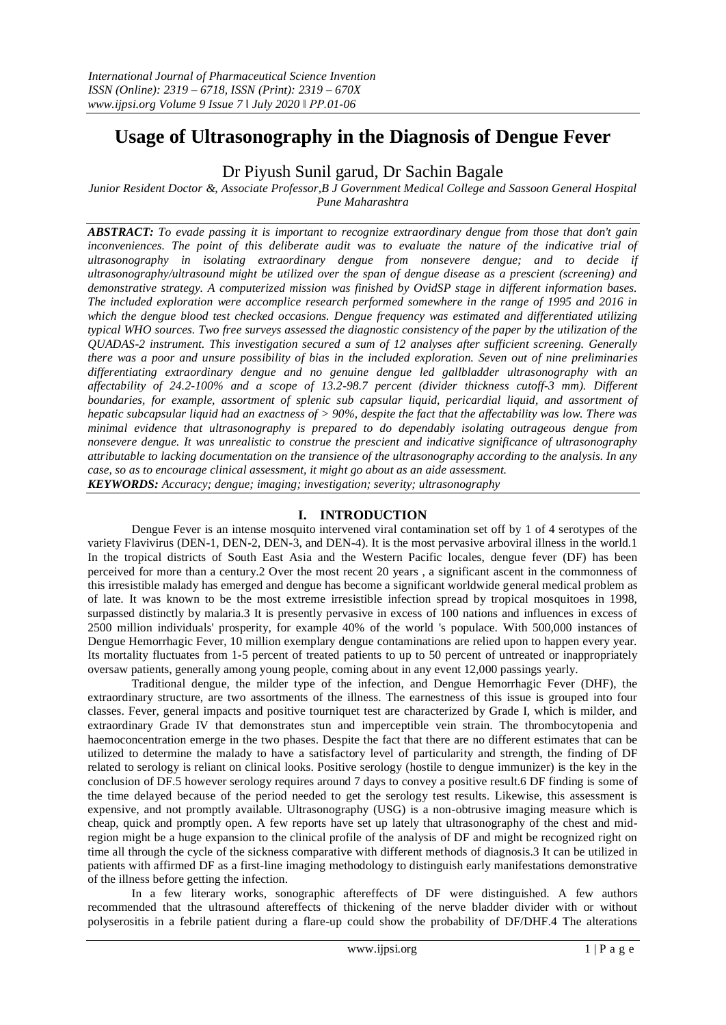# **Usage of Ultrasonography in the Diagnosis of Dengue Fever**

# Dr Piyush Sunil garud, Dr Sachin Bagale

*Junior Resident Doctor &, Associate Professor,B J Government Medical College and Sassoon General Hospital Pune Maharashtra*

*ABSTRACT: To evade passing it is important to recognize extraordinary dengue from those that don't gain*  inconveniences. The point of this deliberate audit was to evaluate the nature of the indicative trial of *ultrasonography in isolating extraordinary dengue from nonsevere dengue; and to decide if ultrasonography/ultrasound might be utilized over the span of dengue disease as a prescient (screening) and demonstrative strategy. A computerized mission was finished by OvidSP stage in different information bases. The included exploration were accomplice research performed somewhere in the range of 1995 and 2016 in which the dengue blood test checked occasions. Dengue frequency was estimated and differentiated utilizing typical WHO sources. Two free surveys assessed the diagnostic consistency of the paper by the utilization of the QUADAS-2 instrument. This investigation secured a sum of 12 analyses after sufficient screening. Generally there was a poor and unsure possibility of bias in the included exploration. Seven out of nine preliminaries differentiating extraordinary dengue and no genuine dengue led gallbladder ultrasonography with an affectability of 24.2-100% and a scope of 13.2-98.7 percent (divider thickness cutoff-3 mm). Different boundaries, for example, assortment of splenic sub capsular liquid, pericardial liquid, and assortment of hepatic subcapsular liquid had an exactness of > 90%, despite the fact that the affectability was low. There was minimal evidence that ultrasonography is prepared to do dependably isolating outrageous dengue from nonsevere dengue. It was unrealistic to construe the prescient and indicative significance of ultrasonography attributable to lacking documentation on the transience of the ultrasonography according to the analysis. In any case, so as to encourage clinical assessment, it might go about as an aide assessment. KEYWORDS: Accuracy; dengue; imaging; investigation; severity; ultrasonography*

# **I. INTRODUCTION**

Dengue Fever is an intense mosquito intervened viral contamination set off by 1 of 4 serotypes of the variety Flavivirus (DEN-1, DEN-2, DEN-3, and DEN-4). It is the most pervasive arboviral illness in the world.1 In the tropical districts of South East Asia and the Western Pacific locales, dengue fever (DF) has been perceived for more than a century.2 Over the most recent 20 years , a significant ascent in the commonness of this irresistible malady has emerged and dengue has become a significant worldwide general medical problem as of late. It was known to be the most extreme irresistible infection spread by tropical mosquitoes in 1998, surpassed distinctly by malaria.3 It is presently pervasive in excess of 100 nations and influences in excess of 2500 million individuals' prosperity, for example 40% of the world 's populace. With 500,000 instances of Dengue Hemorrhagic Fever, 10 million exemplary dengue contaminations are relied upon to happen every year. Its mortality fluctuates from 1-5 percent of treated patients to up to 50 percent of untreated or inappropriately oversaw patients, generally among young people, coming about in any event 12,000 passings yearly.

Traditional dengue, the milder type of the infection, and Dengue Hemorrhagic Fever (DHF), the extraordinary structure, are two assortments of the illness. The earnestness of this issue is grouped into four classes. Fever, general impacts and positive tourniquet test are characterized by Grade I, which is milder, and extraordinary Grade IV that demonstrates stun and imperceptible vein strain. The thrombocytopenia and haemoconcentration emerge in the two phases. Despite the fact that there are no different estimates that can be utilized to determine the malady to have a satisfactory level of particularity and strength, the finding of DF related to serology is reliant on clinical looks. Positive serology (hostile to dengue immunizer) is the key in the conclusion of DF.5 however serology requires around 7 days to convey a positive result.6 DF finding is some of the time delayed because of the period needed to get the serology test results. Likewise, this assessment is expensive, and not promptly available. Ultrasonography (USG) is a non-obtrusive imaging measure which is cheap, quick and promptly open. A few reports have set up lately that ultrasonography of the chest and midregion might be a huge expansion to the clinical profile of the analysis of DF and might be recognized right on time all through the cycle of the sickness comparative with different methods of diagnosis.3 It can be utilized in patients with affirmed DF as a first-line imaging methodology to distinguish early manifestations demonstrative of the illness before getting the infection.

In a few literary works, sonographic aftereffects of DF were distinguished. A few authors recommended that the ultrasound aftereffects of thickening of the nerve bladder divider with or without polyserositis in a febrile patient during a flare-up could show the probability of DF/DHF.4 The alterations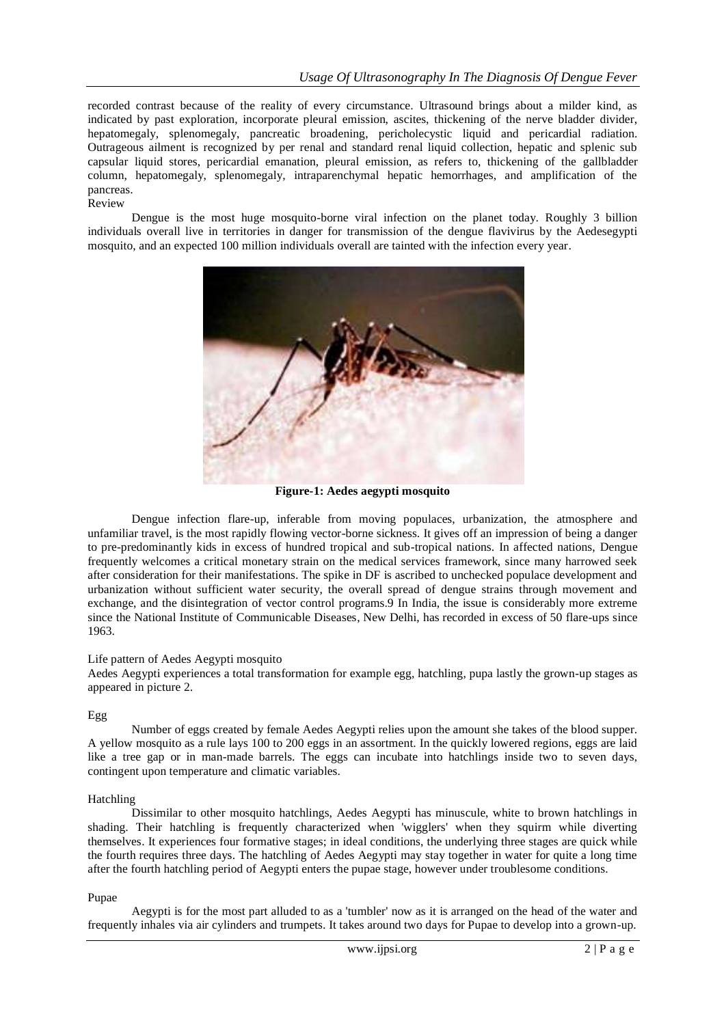recorded contrast because of the reality of every circumstance. Ultrasound brings about a milder kind, as indicated by past exploration, incorporate pleural emission, ascites, thickening of the nerve bladder divider, hepatomegaly, splenomegaly, pancreatic broadening, pericholecystic liquid and pericardial radiation. Outrageous ailment is recognized by per renal and standard renal liquid collection, hepatic and splenic sub capsular liquid stores, pericardial emanation, pleural emission, as refers to, thickening of the gallbladder column, hepatomegaly, splenomegaly, intraparenchymal hepatic hemorrhages, and amplification of the pancreas. Review

Dengue is the most huge mosquito-borne viral infection on the planet today. Roughly 3 billion individuals overall live in territories in danger for transmission of the dengue flavivirus by the Aedesegypti mosquito, and an expected 100 million individuals overall are tainted with the infection every year.



**Figure-1: Aedes aegypti mosquito**

Dengue infection flare-up, inferable from moving populaces, urbanization, the atmosphere and unfamiliar travel, is the most rapidly flowing vector-borne sickness. It gives off an impression of being a danger to pre-predominantly kids in excess of hundred tropical and sub-tropical nations. In affected nations, Dengue frequently welcomes a critical monetary strain on the medical services framework, since many harrowed seek after consideration for their manifestations. The spike in DF is ascribed to unchecked populace development and urbanization without sufficient water security, the overall spread of dengue strains through movement and exchange, and the disintegration of vector control programs.9 In India, the issue is considerably more extreme since the National Institute of Communicable Diseases, New Delhi, has recorded in excess of 50 flare-ups since 1963.

### Life pattern of Aedes Aegypti mosquito

Aedes Aegypti experiences a total transformation for example egg, hatchling, pupa lastly the grown-up stages as appeared in picture 2.

### Egg

Number of eggs created by female Aedes Aegypti relies upon the amount she takes of the blood supper. A yellow mosquito as a rule lays 100 to 200 eggs in an assortment. In the quickly lowered regions, eggs are laid like a tree gap or in man-made barrels. The eggs can incubate into hatchlings inside two to seven days, contingent upon temperature and climatic variables.

#### Hatchling

Dissimilar to other mosquito hatchlings, Aedes Aegypti has minuscule, white to brown hatchlings in shading. Their hatchling is frequently characterized when 'wigglers' when they squirm while diverting themselves. It experiences four formative stages; in ideal conditions, the underlying three stages are quick while the fourth requires three days. The hatchling of Aedes Aegypti may stay together in water for quite a long time after the fourth hatchling period of Aegypti enters the pupae stage, however under troublesome conditions.

#### Pupae

Aegypti is for the most part alluded to as a 'tumbler' now as it is arranged on the head of the water and frequently inhales via air cylinders and trumpets. It takes around two days for Pupae to develop into a grown-up.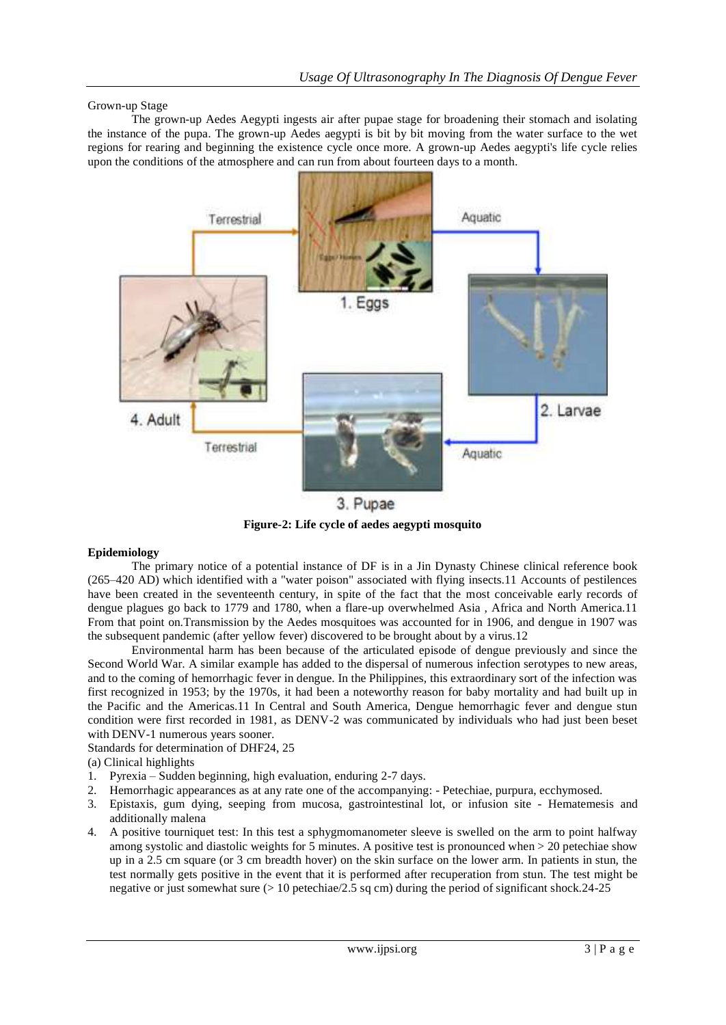Grown-up Stage

The grown-up Aedes Aegypti ingests air after pupae stage for broadening their stomach and isolating the instance of the pupa. The grown-up Aedes aegypti is bit by bit moving from the water surface to the wet regions for rearing and beginning the existence cycle once more. A grown-up Aedes aegypti's life cycle relies upon the conditions of the atmosphere and can run from about fourteen days to a month.



3. Pupae **Figure-2: Life cycle of aedes aegypti mosquito**

### **Epidemiology**

The primary notice of a potential instance of DF is in a Jin Dynasty Chinese clinical reference book (265–420 AD) which identified with a "water poison" associated with flying insects.11 Accounts of pestilences have been created in the seventeenth century, in spite of the fact that the most conceivable early records of dengue plagues go back to 1779 and 1780, when a flare-up overwhelmed Asia , Africa and North America.11 From that point on.Transmission by the Aedes mosquitoes was accounted for in 1906, and dengue in 1907 was the subsequent pandemic (after yellow fever) discovered to be brought about by a virus.12

Environmental harm has been because of the articulated episode of dengue previously and since the Second World War. A similar example has added to the dispersal of numerous infection serotypes to new areas, and to the coming of hemorrhagic fever in dengue. In the Philippines, this extraordinary sort of the infection was first recognized in 1953; by the 1970s, it had been a noteworthy reason for baby mortality and had built up in the Pacific and the Americas.11 In Central and South America, Dengue hemorrhagic fever and dengue stun condition were first recorded in 1981, as DENV-2 was communicated by individuals who had just been beset with DENV-1 numerous years sooner.

Standards for determination of DHF24, 25

(a) Clinical highlights

- 1. Pyrexia Sudden beginning, high evaluation, enduring 2-7 days.
- 2. Hemorrhagic appearances as at any rate one of the accompanying: Petechiae, purpura, ecchymosed.
- 3. Epistaxis, gum dying, seeping from mucosa, gastrointestinal lot, or infusion site Hematemesis and additionally malena
- 4. A positive tourniquet test: In this test a sphygmomanometer sleeve is swelled on the arm to point halfway among systolic and diastolic weights for 5 minutes. A positive test is pronounced when > 20 petechiae show up in a 2.5 cm square (or 3 cm breadth hover) on the skin surface on the lower arm. In patients in stun, the test normally gets positive in the event that it is performed after recuperation from stun. The test might be negative or just somewhat sure  $(> 10$  petechiae/2.5 sq cm) during the period of significant shock.24-25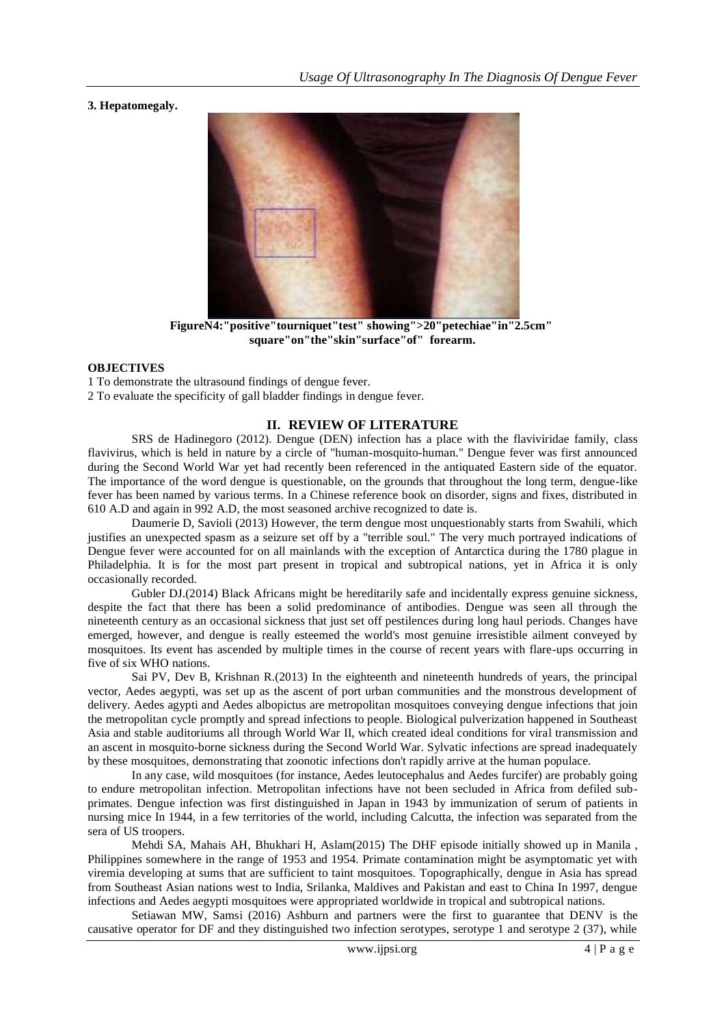**3. Hepatomegaly.**



**FigureN4:"positive"tourniquet"test" showing">20"petechiae"in"2.5cm" square"on"the"skin"surface"of" forearm.**

#### **OBJECTIVES**

1 To demonstrate the ultrasound findings of dengue fever. 2 To evaluate the specificity of gall bladder findings in dengue fever.

# **II. REVIEW OF LITERATURE**

SRS de Hadinegoro (2012). Dengue (DEN) infection has a place with the flaviviridae family, class flavivirus, which is held in nature by a circle of "human-mosquito-human." Dengue fever was first announced during the Second World War yet had recently been referenced in the antiquated Eastern side of the equator. The importance of the word dengue is questionable, on the grounds that throughout the long term, dengue-like fever has been named by various terms. In a Chinese reference book on disorder, signs and fixes, distributed in 610 A.D and again in 992 A.D, the most seasoned archive recognized to date is.

Daumerie D, Savioli (2013) However, the term dengue most unquestionably starts from Swahili, which justifies an unexpected spasm as a seizure set off by a "terrible soul." The very much portrayed indications of Dengue fever were accounted for on all mainlands with the exception of Antarctica during the 1780 plague in Philadelphia. It is for the most part present in tropical and subtropical nations, yet in Africa it is only occasionally recorded.

Gubler DJ.(2014) Black Africans might be hereditarily safe and incidentally express genuine sickness, despite the fact that there has been a solid predominance of antibodies. Dengue was seen all through the nineteenth century as an occasional sickness that just set off pestilences during long haul periods. Changes have emerged, however, and dengue is really esteemed the world's most genuine irresistible ailment conveyed by mosquitoes. Its event has ascended by multiple times in the course of recent years with flare-ups occurring in five of six WHO nations.

Sai PV, Dev B, Krishnan R.(2013) In the eighteenth and nineteenth hundreds of years, the principal vector, Aedes aegypti, was set up as the ascent of port urban communities and the monstrous development of delivery. Aedes agypti and Aedes albopictus are metropolitan mosquitoes conveying dengue infections that join the metropolitan cycle promptly and spread infections to people. Biological pulverization happened in Southeast Asia and stable auditoriums all through World War II, which created ideal conditions for viral transmission and an ascent in mosquito-borne sickness during the Second World War. Sylvatic infections are spread inadequately by these mosquitoes, demonstrating that zoonotic infections don't rapidly arrive at the human populace.

In any case, wild mosquitoes (for instance, Aedes leutocephalus and Aedes furcifer) are probably going to endure metropolitan infection. Metropolitan infections have not been secluded in Africa from defiled subprimates. Dengue infection was first distinguished in Japan in 1943 by immunization of serum of patients in nursing mice In 1944, in a few territories of the world, including Calcutta, the infection was separated from the sera of US troopers.

Mehdi SA, Mahais AH, Bhukhari H, Aslam(2015) The DHF episode initially showed up in Manila , Philippines somewhere in the range of 1953 and 1954. Primate contamination might be asymptomatic yet with viremia developing at sums that are sufficient to taint mosquitoes. Topographically, dengue in Asia has spread from Southeast Asian nations west to India, Srilanka, Maldives and Pakistan and east to China In 1997, dengue infections and Aedes aegypti mosquitoes were appropriated worldwide in tropical and subtropical nations.

Setiawan MW, Samsi (2016) Ashburn and partners were the first to guarantee that DENV is the causative operator for DF and they distinguished two infection serotypes, serotype 1 and serotype 2 (37), while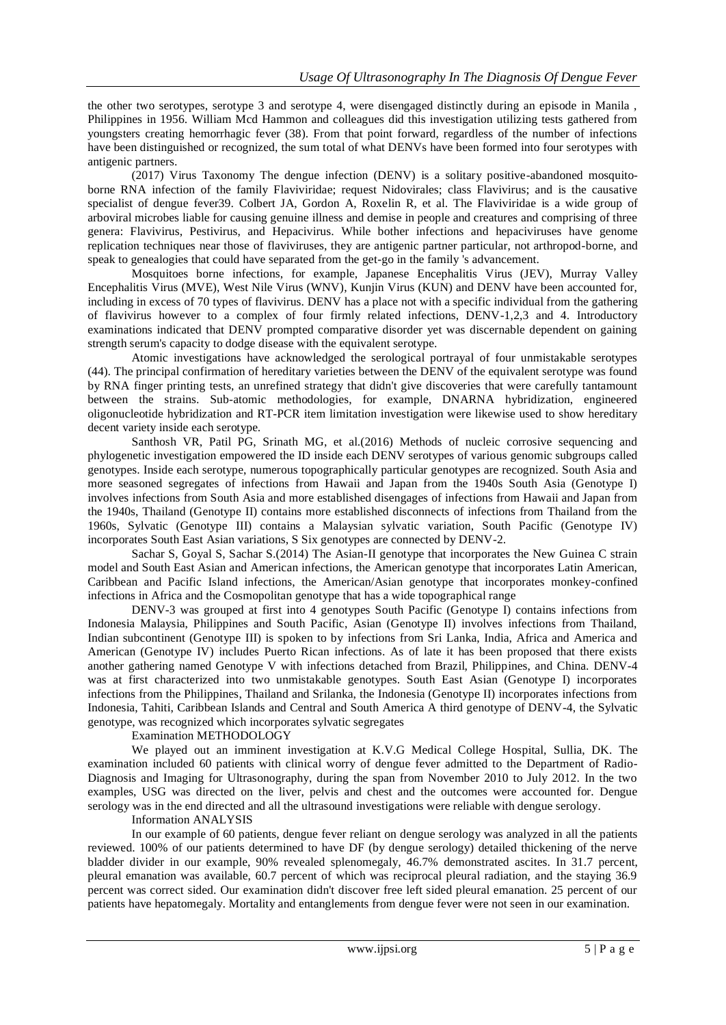the other two serotypes, serotype 3 and serotype 4, were disengaged distinctly during an episode in Manila , Philippines in 1956. William Mcd Hammon and colleagues did this investigation utilizing tests gathered from youngsters creating hemorrhagic fever (38). From that point forward, regardless of the number of infections have been distinguished or recognized, the sum total of what DENVs have been formed into four serotypes with antigenic partners.

(2017) Virus Taxonomy The dengue infection (DENV) is a solitary positive-abandoned mosquitoborne RNA infection of the family Flaviviridae; request Nidovirales; class Flavivirus; and is the causative specialist of dengue fever39. Colbert JA, Gordon A, Roxelin R, et al. The Flaviviridae is a wide group of arboviral microbes liable for causing genuine illness and demise in people and creatures and comprising of three genera: Flavivirus, Pestivirus, and Hepacivirus. While bother infections and hepaciviruses have genome replication techniques near those of flaviviruses, they are antigenic partner particular, not arthropod-borne, and speak to genealogies that could have separated from the get-go in the family 's advancement.

Mosquitoes borne infections, for example, Japanese Encephalitis Virus (JEV), Murray Valley Encephalitis Virus (MVE), West Nile Virus (WNV), Kunjin Virus (KUN) and DENV have been accounted for, including in excess of 70 types of flavivirus. DENV has a place not with a specific individual from the gathering of flavivirus however to a complex of four firmly related infections, DENV-1,2,3 and 4. Introductory examinations indicated that DENV prompted comparative disorder yet was discernable dependent on gaining strength serum's capacity to dodge disease with the equivalent serotype.

Atomic investigations have acknowledged the serological portrayal of four unmistakable serotypes (44). The principal confirmation of hereditary varieties between the DENV of the equivalent serotype was found by RNA finger printing tests, an unrefined strategy that didn't give discoveries that were carefully tantamount between the strains. Sub-atomic methodologies, for example, DNARNA hybridization, engineered oligonucleotide hybridization and RT-PCR item limitation investigation were likewise used to show hereditary decent variety inside each serotype.

Santhosh VR, Patil PG, Srinath MG, et al.(2016) Methods of nucleic corrosive sequencing and phylogenetic investigation empowered the ID inside each DENV serotypes of various genomic subgroups called genotypes. Inside each serotype, numerous topographically particular genotypes are recognized. South Asia and more seasoned segregates of infections from Hawaii and Japan from the 1940s South Asia (Genotype I) involves infections from South Asia and more established disengages of infections from Hawaii and Japan from the 1940s, Thailand (Genotype II) contains more established disconnects of infections from Thailand from the 1960s, Sylvatic (Genotype III) contains a Malaysian sylvatic variation, South Pacific (Genotype IV) incorporates South East Asian variations, S Six genotypes are connected by DENV-2.

Sachar S, Goyal S, Sachar S.(2014) The Asian-II genotype that incorporates the New Guinea C strain model and South East Asian and American infections, the American genotype that incorporates Latin American, Caribbean and Pacific Island infections, the American/Asian genotype that incorporates monkey-confined infections in Africa and the Cosmopolitan genotype that has a wide topographical range

DENV-3 was grouped at first into 4 genotypes South Pacific (Genotype I) contains infections from Indonesia Malaysia, Philippines and South Pacific, Asian (Genotype II) involves infections from Thailand, Indian subcontinent (Genotype III) is spoken to by infections from Sri Lanka, India, Africa and America and American (Genotype IV) includes Puerto Rican infections. As of late it has been proposed that there exists another gathering named Genotype V with infections detached from Brazil, Philippines, and China. DENV-4 was at first characterized into two unmistakable genotypes. South East Asian (Genotype I) incorporates infections from the Philippines, Thailand and Srilanka, the Indonesia (Genotype II) incorporates infections from Indonesia, Tahiti, Caribbean Islands and Central and South America A third genotype of DENV-4, the Sylvatic genotype, was recognized which incorporates sylvatic segregates

#### Examination METHODOLOGY

We played out an imminent investigation at K.V.G Medical College Hospital, Sullia, DK. The examination included 60 patients with clinical worry of dengue fever admitted to the Department of Radio-Diagnosis and Imaging for Ultrasonography, during the span from November 2010 to July 2012. In the two examples, USG was directed on the liver, pelvis and chest and the outcomes were accounted for. Dengue serology was in the end directed and all the ultrasound investigations were reliable with dengue serology.

#### Information ANALYSIS

In our example of 60 patients, dengue fever reliant on dengue serology was analyzed in all the patients reviewed. 100% of our patients determined to have DF (by dengue serology) detailed thickening of the nerve bladder divider in our example, 90% revealed splenomegaly, 46.7% demonstrated ascites. In 31.7 percent, pleural emanation was available, 60.7 percent of which was reciprocal pleural radiation, and the staying 36.9 percent was correct sided. Our examination didn't discover free left sided pleural emanation. 25 percent of our patients have hepatomegaly. Mortality and entanglements from dengue fever were not seen in our examination.